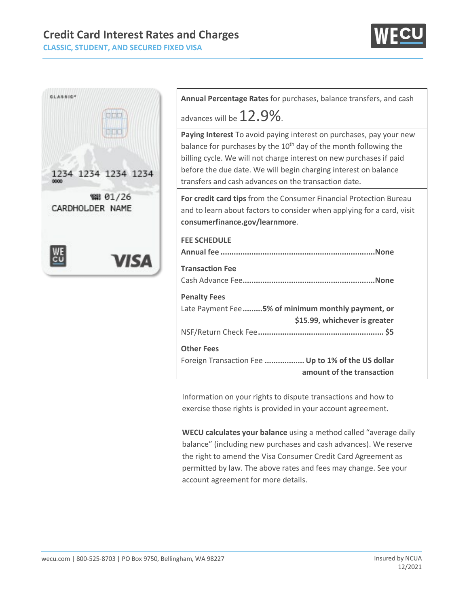## **Credit Card Interest Rates and Charges**

**CLASSIC, STUDENT, AND SECURED FIXED VISA**





**Annual Percentage Rates** for purchases, balance transfers, and cash

advances will be  $12.9\%$ .

**Paying Interest** To avoid paying interest on purchases, pay your new balance for purchases by the  $10<sup>th</sup>$  day of the month following the billing cycle. We will not charge interest on new purchases if paid before the due date. We will begin charging interest on balance transfers and cash advances on the transaction date.

**For credit card tips** from the Consumer Financial Protection Bureau and to learn about factors to consider when applying for a card, visit **consumerfinance.gov/learnmore**.

| <b>FEE SCHEDULE</b>                                                                |  |
|------------------------------------------------------------------------------------|--|
| <b>Transaction Fee</b>                                                             |  |
| <b>Penalty Fees</b>                                                                |  |
| Late Payment Fee5% of minimum monthly payment, or<br>\$15.99, whichever is greater |  |
|                                                                                    |  |
| <b>Other Fees</b>                                                                  |  |
| Foreign Transaction Fee  Up to 1% of the US dollar                                 |  |
| amount of the transaction                                                          |  |

Information on your rights to dispute transactions and how to exercise those rights is provided in your account agreement.

**WECU calculates your balance** using a method called "average daily balance" (including new purchases and cash advances). We reserve the right to amend the Visa Consumer Credit Card Agreement as permitted by law. The above rates and fees may change. See your account agreement for more details.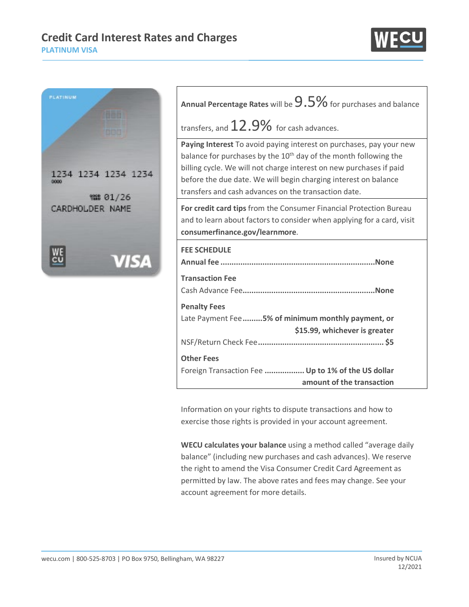### **Credit Card Interest Rates and Charges PLATINUM VISA**





| Annual Percentage Rates will be $9.5\%$ for purchases and balance                                                                                                                                                                                                                                                                           |
|---------------------------------------------------------------------------------------------------------------------------------------------------------------------------------------------------------------------------------------------------------------------------------------------------------------------------------------------|
| transfers, and $12.9\%$ for cash advances.                                                                                                                                                                                                                                                                                                  |
| Paying Interest To avoid paying interest on purchases, pay your new<br>balance for purchases by the $10th$ day of the month following the<br>billing cycle. We will not charge interest on new purchases if paid<br>before the due date. We will begin charging interest on balance<br>transfers and cash advances on the transaction date. |
| For credit card tips from the Consumer Financial Protection Bureau<br>and to learn about factors to consider when applying for a card, visit<br>consumerfinance.gov/learnmore.                                                                                                                                                              |
| <b>FEE SCHEDULE</b>                                                                                                                                                                                                                                                                                                                         |
| <b>Transaction Fee</b>                                                                                                                                                                                                                                                                                                                      |
| <b>Penalty Fees</b><br>Late Payment Fee  5% of minimum monthly payment, or<br>\$15.99, whichever is greater                                                                                                                                                                                                                                 |
|                                                                                                                                                                                                                                                                                                                                             |
| <b>Other Fees</b><br>Foreign Transaction Fee  Up to 1% of the US dollar                                                                                                                                                                                                                                                                     |
| amount of the transaction                                                                                                                                                                                                                                                                                                                   |

Information on your rights to dispute transactions and how to exercise those rights is provided in your account agreement.

**WECU calculates your balance** using a method called "average daily balance" (including new purchases and cash advances). We reserve the right to amend the Visa Consumer Credit Card Agreement as permitted by law. The above rates and fees may change. See your account agreement for more details.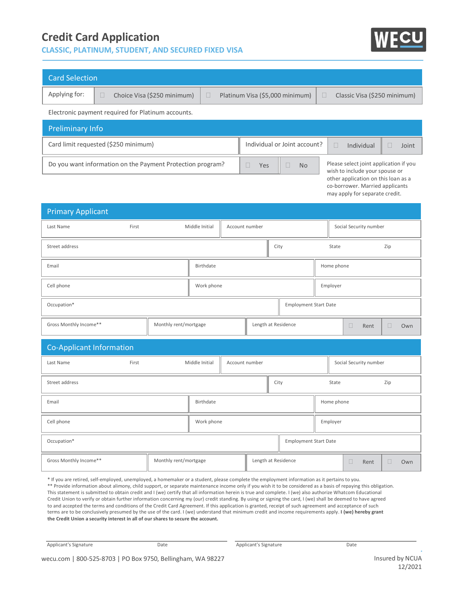# **Credit Card Application**

### **CLASSIC, PLATINUM, STUDENT, AND SECURED FIXED VISA**



| <b>Card Selection</b>                                                                                                                                                                                                                                                                      |                                                                                    |                              |                     |                        |                                                 |               |  |     |  |  |
|--------------------------------------------------------------------------------------------------------------------------------------------------------------------------------------------------------------------------------------------------------------------------------------------|------------------------------------------------------------------------------------|------------------------------|---------------------|------------------------|-------------------------------------------------|---------------|--|-----|--|--|
| Applying for:<br>$\Box$                                                                                                                                                                                                                                                                    | Choice Visa (\$250 minimum)<br>$\Box$<br>Platinum Visa (\$5,000 minimum)<br>$\Box$ |                              |                     |                        | Classic Visa (\$250 minimum)                    |               |  |     |  |  |
| Electronic payment required for Platinum accounts.                                                                                                                                                                                                                                         |                                                                                    |                              |                     |                        |                                                 |               |  |     |  |  |
| <b>Preliminary Info</b>                                                                                                                                                                                                                                                                    |                                                                                    |                              |                     |                        |                                                 |               |  |     |  |  |
| Individual or Joint account?<br>Card limit requested (\$250 minimum)<br>$\Box$<br>Individual<br>$\Box$<br>Joint                                                                                                                                                                            |                                                                                    |                              |                     |                        |                                                 |               |  |     |  |  |
| Please select joint application if you<br>Do you want information on the Payment Protection program?<br>$\Box$<br><b>No</b><br>$\Box$<br>Yes<br>wish to include your spouse or<br>other application on this loan as a<br>co-borrower. Married applicants<br>may apply for separate credit. |                                                                                    |                              |                     |                        |                                                 |               |  |     |  |  |
| <b>Primary Applicant</b>                                                                                                                                                                                                                                                                   |                                                                                    |                              |                     |                        |                                                 |               |  |     |  |  |
| Last Name<br>First                                                                                                                                                                                                                                                                         | Middle Initial                                                                     | Account number               |                     | Social Security number |                                                 |               |  |     |  |  |
| Street address                                                                                                                                                                                                                                                                             | City                                                                               |                              |                     |                        | State<br>Zip                                    |               |  |     |  |  |
| Email                                                                                                                                                                                                                                                                                      |                                                                                    | Home phone                   |                     |                        |                                                 |               |  |     |  |  |
| Cell phone                                                                                                                                                                                                                                                                                 |                                                                                    | Employer                     |                     |                        |                                                 |               |  |     |  |  |
| Occupation*<br><b>Employment Start Date</b>                                                                                                                                                                                                                                                |                                                                                    |                              |                     |                        |                                                 |               |  |     |  |  |
| Gross Monthly Income**                                                                                                                                                                                                                                                                     | Monthly rent/mortgage                                                              |                              | Length at Residence |                        |                                                 | $\Box$<br>Own |  |     |  |  |
| <b>Co-Applicant Information</b>                                                                                                                                                                                                                                                            |                                                                                    |                              |                     |                        |                                                 |               |  |     |  |  |
| Last Name<br>First                                                                                                                                                                                                                                                                         | Middle Initial                                                                     | Account number               |                     |                        | Social Security number                          |               |  |     |  |  |
| Street address                                                                                                                                                                                                                                                                             |                                                                                    |                              | City                | State<br>Zip           |                                                 |               |  |     |  |  |
| Email<br>Birthdate                                                                                                                                                                                                                                                                         |                                                                                    |                              |                     | Home phone             |                                                 |               |  |     |  |  |
| Cell phone<br>Work phone                                                                                                                                                                                                                                                                   |                                                                                    |                              |                     | Employer               |                                                 |               |  |     |  |  |
| Occupation*                                                                                                                                                                                                                                                                                |                                                                                    | <b>Employment Start Date</b> |                     |                        |                                                 |               |  |     |  |  |
| Gross Monthly Income**                                                                                                                                                                                                                                                                     | Monthly rent/mortgage                                                              |                              |                     |                        | Length at Residence<br>$\Box$<br>$\Box$<br>Rent |               |  | Own |  |  |

\* If you are retired, self-employed, unemployed, a homemaker or a student, please complete the employment information as it pertains to you. \*\* Provide information about alimony, child support, or separate maintenance income only if you wish it to be considered as a basis of repaying this obligation. This statement is submitted to obtain credit and I (we) certify that all information herein is true and complete. I (we) also authorize Whatcom Educational Credit Union to verify or obtain further information concerning my (our) credit standing. By using or signing the card, I (we) shall be deemed to have agreed to and accepted the terms and conditions of the Credit Card Agreement. If this application is granted, receipt of such agreement and acceptance of such terms are to be conclusively presumed by the use of the card. I (we) understand that minimum credit and income requirements apply. **I (we) hereby grant the Credit Union a security interest in all of our shares to secure the account.**

Applicant's Signature Date Date Date Applicant's Signature Date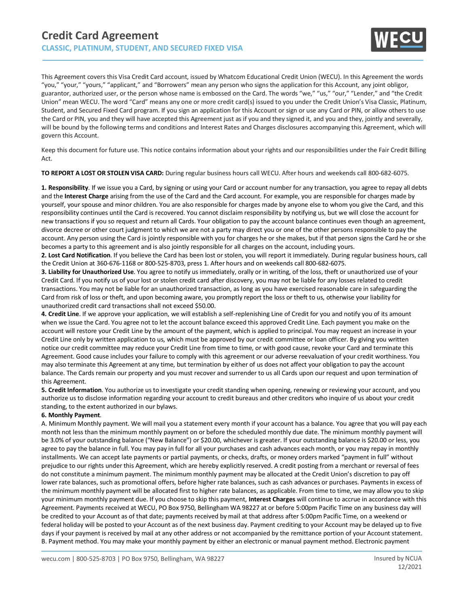

This Agreement covers this Visa Credit Card account, issued by Whatcom Educational Credit Union (WECU). In this Agreement the words "you," "your," "yours," "applicant," and "Borrowers" mean any person who signs the application for this Account, any joint obligor, guarantor, authorized user, or the person whose name is embossed on the Card. The words "we," "us," "our," "Lender," and "the Credit Union" mean WECU. The word "Card" means any one or more credit card(s) issued to you under the Credit Union's Visa Classic, Platinum, Student, and Secured Fixed Card program. If you sign an application for this Account or sign or use any Card or PIN, or allow others to use the Card or PIN, you and they will have accepted this Agreement just as if you and they signed it, and you and they, jointly and severally, will be bound by the following terms and conditions and Interest Rates and Charges disclosures accompanying this Agreement, which will govern this Account.

Keep this document for future use. This notice contains information about your rights and our responsibilities under the Fair Credit Billing Act.

**TO REPORT A LOST OR STOLEN VISA CARD:** During regular business hours call WECU. After hours and weekends call 800-682-6075.

**1. Responsibility**. If we issue you a Card, by signing or using your Card or account number for any transaction, you agree to repay all debts and the **Interest Charge** arising from the use of the Card and the Card account. For example, you are responsible for charges made by yourself, your spouse and minor children. You are also responsible for charges made by anyone else to whom you give the Card, and this responsibility continues until the Card is recovered. You cannot disclaim responsibility by notifying us, but we will close the account for new transactions if you so request and return all Cards. Your obligation to pay the account balance continues even though an agreement, divorce decree or other court judgment to which we are not a party may direct you or one of the other persons responsible to pay the account. Any person using the Card is jointly responsible with you for charges he or she makes, but if that person signs the Card he or she becomes a party to this agreement and is also jointly responsible for all charges on the account, including yours.

**2. Lost Card Notification**. If you believe the Card has been lost or stolen, you will report it immediately. During regular business hours, call the Credit Union at 360-676-1168 or 800-525-8703, press 1. After hours and on weekends call 800-682-6075.

**3. Liability for Unauthorized Use**. You agree to notify us immediately, orally or in writing, of the loss, theft or unauthorized use of your Credit Card. If you notify us of your lost or stolen credit card after discovery, you may not be liable for any losses related to credit transactions. You may not be liable for an unauthorized transaction, as long as you have exercised reasonable care in safeguarding the Card from risk of loss or theft, and upon becoming aware, you promptly report the loss or theft to us, otherwise your liability for unauthorized credit card transactions shall not exceed \$50.00.

**4. Credit Line**. If we approve your application, we will establish a self-replenishing Line of Credit for you and notify you of its amount when we issue the Card. You agree not to let the account balance exceed this approved Credit Line. Each payment you make on the account will restore your Credit Line by the amount of the payment, which is applied to principal. You may request an increase in your Credit Line only by written application to us, which must be approved by our credit committee or loan officer. By giving you written notice our credit committee may reduce your Credit Line from time to time, or with good cause, revoke your Card and terminate this Agreement. Good cause includes your failure to comply with this agreement or our adverse reevaluation of your credit worthiness. You may also terminate this Agreement at any time, but termination by either of us does not affect your obligation to pay the account balance. The Cards remain our property and you must recover and surrender to us all Cards upon our request and upon termination of this Agreement.

**5. Credit Information**. You authorize us to investigate your credit standing when opening, renewing or reviewing your account, and you authorize us to disclose information regarding your account to credit bureaus and other creditors who inquire of us about your credit standing, to the extent authorized in our bylaws.

#### **6. Monthly Payment**.

A. Minimum Monthly payment. We will mail you a statement every month if your account has a balance. You agree that you will pay each month not less than the minimum monthly payment on or before the scheduled monthly due date. The minimum monthly payment will be 3.0% of your outstanding balance ("New Balance") or \$20.00, whichever is greater. If your outstanding balance is \$20.00 or less, you agree to pay the balance in full. You may pay in full for all your purchases and cash advances each month, or you may repay in monthly installments. We can accept late payments or partial payments, or checks, drafts, or money orders marked "payment in full" without prejudice to our rights under this Agreement, which are hereby explicitly reserved. A credit posting from a merchant or reversal of fees do not constitute a minimum payment. The minimum monthly payment may be allocated at the Credit Union's discretion to pay off lower rate balances, such as promotional offers, before higher rate balances, such as cash advances or purchases. Payments in excess of the minimum monthly payment will be allocated first to higher rate balances, as applicable. From time to time, we may allow you to skip your minimum monthly payment due. If you choose to skip this payment, **Interest Charges** will continue to accrue in accordance with this Agreement. Payments received at WECU, PO Box 9750, Bellingham WA 98227 at or before 5:00pm Pacific Time on any business day will be credited to your Account as of that date; payments received by mail at that address after 5:00pm Pacific Time, on a weekend or federal holiday will be posted to your Account as of the next business day. Payment crediting to your Account may be delayed up to five days if your payment is received by mail at any other address or not accompanied by the remittance portion of your Account statement. B. Payment method. You may make your monthly payment by either an electronic or manual payment method. Electronic payment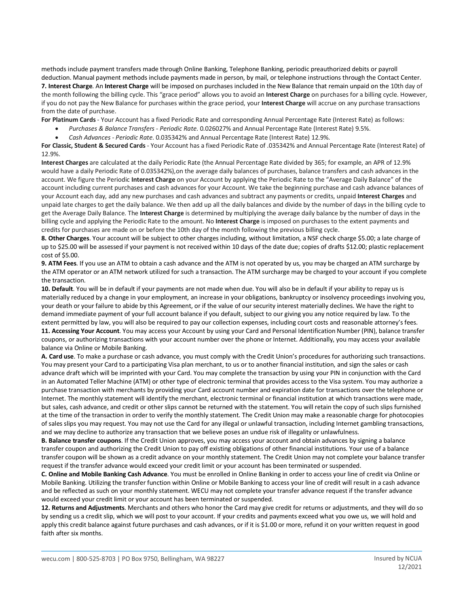methods include payment transfers made through Online Banking, Telephone Banking, periodic preauthorized debits or payroll deduction. Manual payment methods include payments made in person, by mail, or telephone instructions through the Contact Center. **7. Interest Charge**. An **Interest Charge** will be imposed on purchases included in the New Balance that remain unpaid on the 10th day of the month following the billing cycle. This "grace period" allows you to avoid an **Interest Charge** on purchases for a billing cycle. However, if you do not pay the New Balance for purchases within the grace period, your **Interest Charge** will accrue on any purchase transactions from the date of purchase.

**For Platinum Cards** - Your Account has a fixed Periodic Rate and corresponding Annual Percentage Rate (Interest Rate) as follows:

- *Purchases & Balance Transfers - Periodic Rate*. 0.026027% and Annual Percentage Rate (Interest Rate) 9.5%.
- *Cash Advances - Periodic Rate*. 0.035342% and Annual Percentage Rate (Interest Rate) 12.9%.

**For Classic, Student & Secured Cards** - Your Account has a fixed Periodic Rate of .035342% and Annual Percentage Rate (Interest Rate) of 12.9%.

**Interest Charges** are calculated at the daily Periodic Rate (the Annual Percentage Rate divided by 365; for example, an APR of 12.9% would have a daily Periodic Rate of 0.035342%),on the average daily balances of purchases, balance transfers and cash advances in the account. We figure the Periodic **Interest Charge** on your Account by applying the Periodic Rate to the "Average Daily Balance" of the account including current purchases and cash advances for your Account. We take the beginning purchase and cash advance balances of your Account each day, add any new purchases and cash advances and subtract any payments or credits, unpaid **Interest Charges** and unpaid late charges to get the daily balance. We then add up all the daily balances and divide by the number of days in the billing cycle to get the Average Daily Balance. The **Interest Charge** is determined by multiplying the average daily balance by the number of days in the billing cycle and applying the Periodic Rate to the amount. No **Interest Charge** is imposed on purchases to the extent payments and credits for purchases are made on or before the 10th day of the month following the previous billing cycle.

**8. Other Charges**. Your account will be subject to other charges including, without limitation, a NSF check charge \$5.00; a late charge of up to \$25.00 will be assessed if your payment is not received within 10 days of the date due; copies of drafts \$12.00; plastic replacement cost of \$5.00.

**9. ATM Fees**. If you use an ATM to obtain a cash advance and the ATM is not operated by us, you may be charged an ATM surcharge by the ATM operator or an ATM network utilized for such a transaction. The ATM surcharge may be charged to your account if you complete the transaction.

**10. Default**. You will be in default if your payments are not made when due. You will also be in default if your ability to repay us is materially reduced by a change in your employment, an increase in your obligations, bankruptcy or insolvency proceedings involving you, your death or your failure to abide by this Agreement, or if the value of our security interest materially declines. We have the right to demand immediate payment of your full account balance if you default, subject to our giving you any notice required by law. To the extent permitted by law, you will also be required to pay our collection expenses, including court costs and reasonable attorney's fees.

**11. Accessing Your Account**. You may access your Account by using your Card and Personal Identification Number (PIN), balance transfer coupons, or authorizing transactions with your account number over the phone or Internet. Additionally, you may access your available balance via Online or Mobile Banking.

**A. Card use**. To make a purchase or cash advance, you must comply with the Credit Union's procedures for authorizing such transactions. You may present your Card to a participating Visa plan merchant, to us or to another financial institution, and sign the sales or cash advance draft which will be imprinted with your Card. You may complete the transaction by using your PIN in conjunction with the Card in an Automated Teller Machine (ATM) or other type of electronic terminal that provides access to the Visa system. You may authorize a purchase transaction with merchants by providing your Card account number and expiration date for transactions over the telephone or Internet. The monthly statement will identify the merchant, electronic terminal or financial institution at which transactions were made, but sales, cash advance, and credit or other slips cannot be returned with the statement. You will retain the copy of such slips furnished at the time of the transaction in order to verify the monthly statement. The Credit Union may make a reasonable charge for photocopies of sales slips you may request. You may not use the Card for any illegal or unlawful transaction, including Internet gambling transactions, and we may decline to authorize any transaction that we believe poses an undue risk of illegality or unlawfulness.

**B. Balance transfer coupons**. If the Credit Union approves, you may access your account and obtain advances by signing a balance transfer coupon and authorizing the Credit Union to pay off existing obligations of other financial institutions. Your use of a balance transfer coupon will be shown as a credit advance on your monthly statement. The Credit Union may not complete your balance transfer request if the transfer advance would exceed your credit limit or your account has been terminated or suspended.

**C. Online and Mobile Banking Cash Advance**. You must be enrolled in Online Banking in order to access your line of credit via Online or Mobile Banking. Utilizing the transfer function within Online or Mobile Banking to access your line of credit will result in a cash advance and be reflected as such on your monthly statement. WECU may not complete your transfer advance request if the transfer advance would exceed your credit limit or your account has been terminated or suspended.

**12. Returns and Adjustments**. Merchants and others who honor the Card may give credit for returns or adjustments, and they will do so by sending us a credit slip, which we will post to your account. If your credits and payments exceed what you owe us, we will hold and apply this credit balance against future purchases and cash advances, or if it is \$1.00 or more, refund it on your written request in good faith after six months.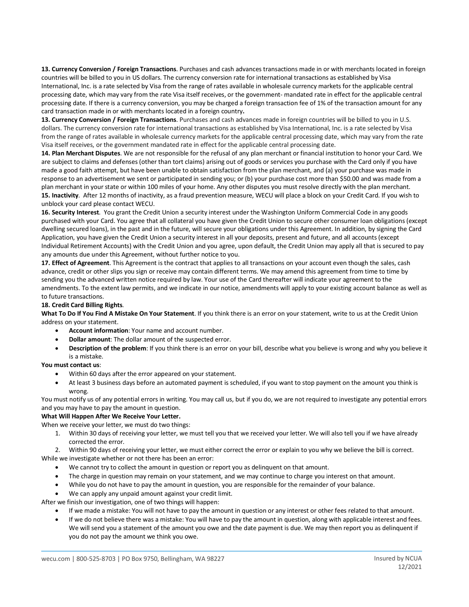**13. Currency Conversion / Foreign Transactions**. Purchases and cash advances transactions made in or with merchants located in foreign countries will be billed to you in US dollars. The currency conversion rate for international transactions as established by Visa International, Inc. is a rate selected by Visa from the range of rates available in wholesale currency markets for the applicable central processing date, which may vary from the rate Visa itself receives, or the government- mandated rate in effect for the applicable central processing date. If there is a currency conversion, you may be charged a foreign transaction fee of 1% of the transaction amount for any card transaction made in or with merchants located in a foreign country**.**

**13. Currency Conversion / Foreign Transactions**. Purchases and cash advances made in foreign countries will be billed to you in U.S. dollars. The currency conversion rate for international transactions as established by Visa International, Inc. is a rate selected by Visa from the range of rates available in wholesale currency markets for the applicable central processing date, which may vary from the rate Visa itself receives, or the government mandated rate in effect for the applicable central processing date.

**14. Plan Merchant Disputes**. We are not responsible for the refusal of any plan merchant or financial institution to honor your Card. We are subject to claims and defenses (other than tort claims) arising out of goods or services you purchase with the Card only if you have made a good faith attempt, but have been unable to obtain satisfaction from the plan merchant, and (a) your purchase was made in response to an advertisement we sent or participated in sending you; or (b) your purchase cost more than \$50.00 and was made from a plan merchant in your state or within 100 miles of your home. Any other disputes you must resolve directly with the plan merchant. **15. Inactivity**. After 12 months of inactivity, as a fraud prevention measure, WECU will place a block on your Credit Card. If you wish to unblock your card please contact WECU.

**16. Security Interest**. You grant the Credit Union a security interest under the Washington Uniform Commercial Code in any goods purchased with your Card. You agree that all collateral you have given the Credit Union to secure other consumer loan obligations (except dwelling secured loans), in the past and in the future, will secure your obligations under this Agreement. In addition, by signing the Card Application, you have given the Credit Union a security interest in all your deposits, present and future, and all accounts (except Individual Retirement Accounts) with the Credit Union and you agree, upon default, the Credit Union may apply all that is secured to pay any amounts due under this Agreement, without further notice to you.

**17. Effect of Agreement**. This Agreement is the contract that applies to all transactions on your account even though the sales, cash advance, credit or other slips you sign or receive may contain different terms. We may amend this agreement from time to time by sending you the advanced written notice required by law. Your use of the Card thereafter will indicate your agreement to the amendments. To the extent law permits, and we indicate in our notice, amendments will apply to your existing account balance as well as to future transactions.

#### **18. Credit Card Billing Rights**.

**What To Do If You Find A Mistake On Your Statement**. If you think there is an error on your statement, write to us at the Credit Union address on your statement.

- **Account information**: Your name and account number.
- **Dollar amount**: The dollar amount of the suspected error.
- **Description of the problem**: If you think there is an error on your bill, describe what you believe is wrong and why you believe it is a mistake.

#### **You must contact us**:

- Within 60 days after the error appeared on your statement.
- At least 3 business days before an automated payment is scheduled, if you want to stop payment on the amount you think is wrong.

You must notify us of any potential errors in writing. You may call us, but if you do, we are not required to investigate any potential errors and you may have to pay the amount in question.

#### **What Will Happen After We Receive Your Letter.**

When we receive your letter, we must do two things:

1. Within 30 days of receiving your letter, we must tell you that we received your letter. We will also tell you if we have already corrected the error.

2. Within 90 days of receiving your letter, we must either correct the error or explain to you why we believe the bill is correct.

While we investigate whether or not there has been an error:

- We cannot try to collect the amount in question or report you as delinquent on that amount.
- The charge in question may remain on your statement, and we may continue to charge you interest on that amount.
- While you do not have to pay the amount in question, you are responsible for the remainder of your balance.
- We can apply any unpaid amount against your credit limit.

After we finish our investigation, one of two things will happen:

- If we made a mistake: You will not have to pay the amount in question or any interest or other fees related to that amount.
- If we do not believe there was a mistake: You will have to pay the amount in question, along with applicable interest and fees. We will send you a statement of the amount you owe and the date payment is due. We may then report you as delinquent if you do not pay the amount we think you owe.